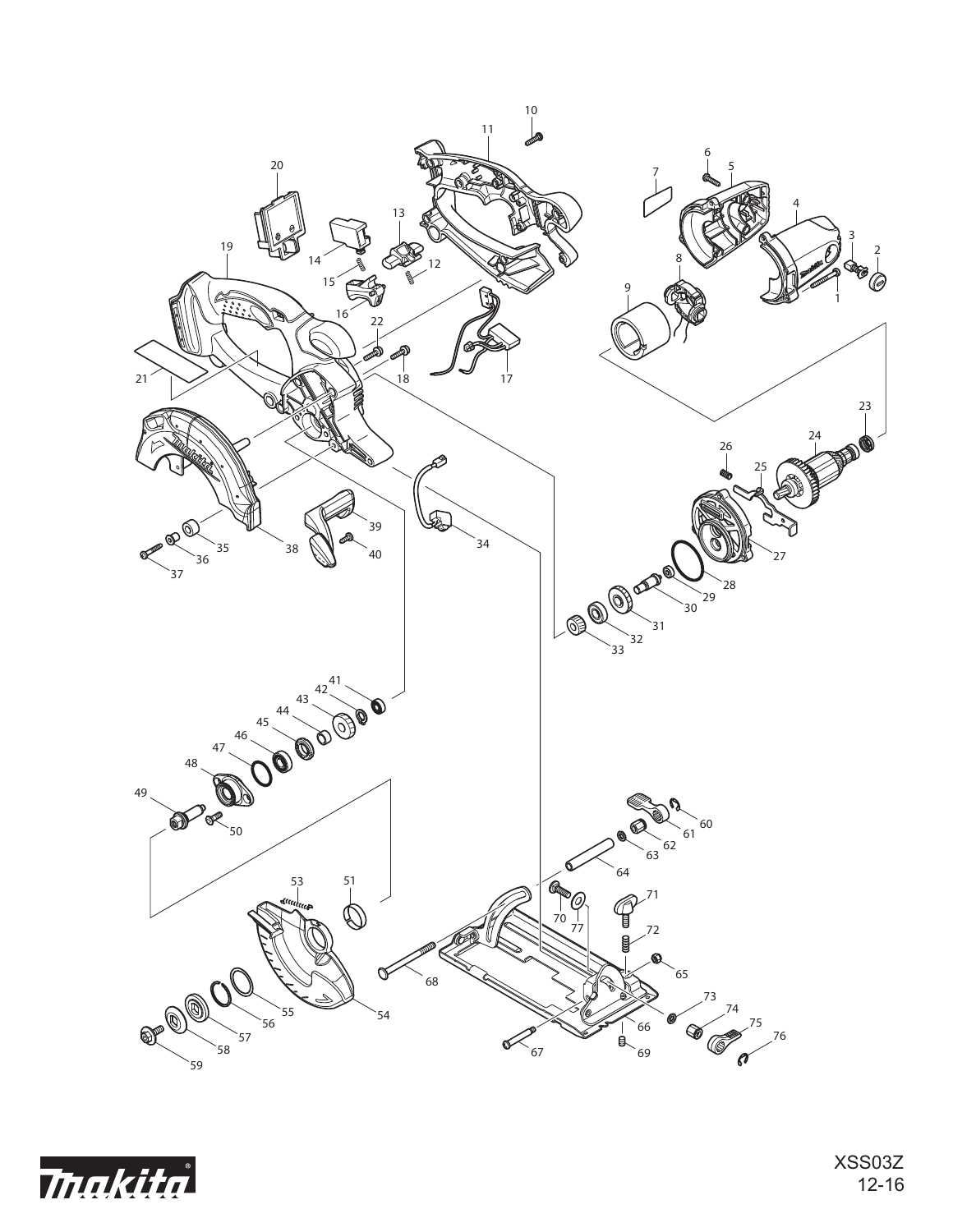

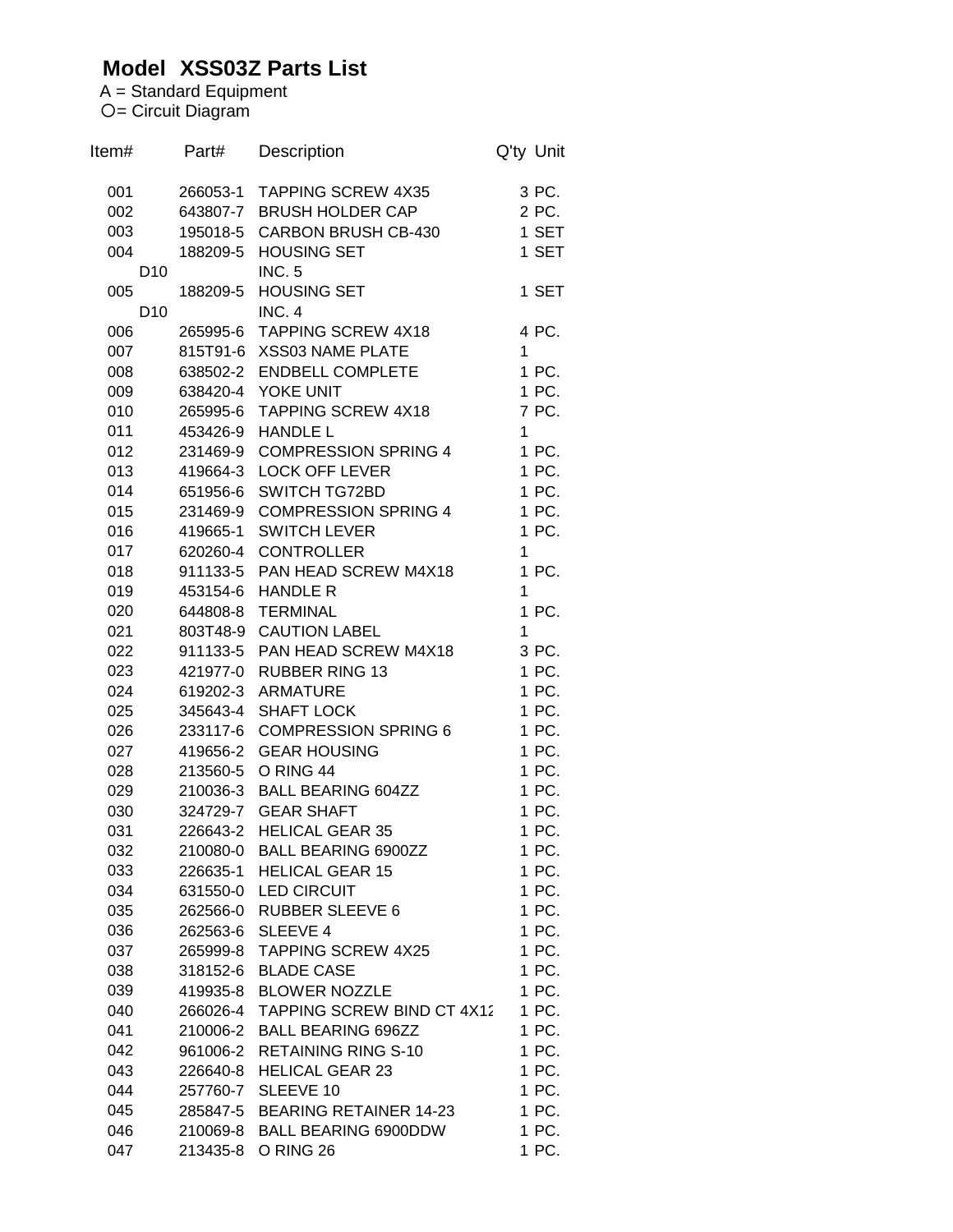## **Model XSS03Z Parts List**

A = Standard Equipment = Circuit Diagram

| Item#           | Part#                | Description                              | Q'ty Unit      |
|-----------------|----------------------|------------------------------------------|----------------|
| 001             |                      | 266053-1 TAPPING SCREW 4X35              | 3 PC.          |
| 002             |                      | 643807-7 BRUSH HOLDER CAP                | 2 PC.          |
| 003             |                      | 195018-5 CARBON BRUSH CB-430             | 1 SET          |
| 004             |                      | 188209-5 HOUSING SET                     | 1 SET          |
| D <sub>10</sub> |                      | <b>INC. 5</b>                            |                |
| 005             | 188209-5             | <b>HOUSING SET</b>                       | 1 SET          |
| D <sub>10</sub> |                      | INC. 4                                   |                |
| 006             |                      | 265995-6 TAPPING SCREW 4X18              | 4 PC.          |
| 007             |                      | 815T91-6 XSS03 NAME PLATE                | 1              |
| 008             |                      | 638502-2 ENDBELL COMPLETE                | 1 PC.          |
| 009             |                      | 638420-4 YOKE UNIT                       | 1 PC.          |
| 010             |                      | 265995-6 TAPPING SCREW 4X18              | 7 PC.          |
| 011             |                      | 453426-9 HANDLE L                        | 1              |
| 012             |                      | 231469-9 COMPRESSION SPRING 4            | 1 PC.          |
| 013             |                      | 419664-3 LOCK OFF LEVER                  | 1 PC.          |
| 014             |                      | 651956-6 SWITCH TG72BD                   | 1 PC.          |
| 015             |                      | 231469-9 COMPRESSION SPRING 4            | 1 PC.          |
| 016             |                      | 419665-1 SWITCH LEVER                    | 1 PC.          |
| 017             |                      | 620260-4 CONTROLLER                      | $\mathbf{1}$   |
| 018             |                      | 911133-5 PAN HEAD SCREW M4X18            | 1 PC.          |
| 019             |                      | 453154-6 HANDLE R                        | 1              |
| 020             |                      | 644808-8 TERMINAL                        | 1 PC.          |
| 021             |                      | 803T48-9 CAUTION LABEL                   | 1              |
| 022             |                      | 911133-5 PAN HEAD SCREW M4X18            | 3 PC.          |
| 023             | 421977-0             | <b>RUBBER RING 13</b>                    | 1 PC.          |
| 024             |                      | 619202-3 ARMATURE                        | 1 PC.          |
| 025             | 345643-4             | <b>SHAFT LOCK</b>                        | 1 PC.          |
| 026             |                      | 233117-6 COMPRESSION SPRING 6            | 1 PC.          |
| 027             |                      | 419656-2 GEAR HOUSING                    | 1 PC.          |
| 028             |                      | 213560-5 O RING 44                       | 1 PC.          |
| 029             |                      | 210036-3 BALL BEARING 604ZZ              | 1 PC.          |
| 030             |                      | 324729-7 GEAR SHAFT                      | 1 PC.          |
| 031             | 226643-2             | <b>HELICAL GEAR 35</b>                   | 1 PC.          |
| 032             | 210080-0             | <b>BALL BEARING 6900ZZ</b>               | 1 PC.          |
| 033             | 226635-1             | <b>HELICAL GEAR 15</b>                   | 1 PC.          |
| 034             | 631550-0             | <b>LED CIRCUIT</b>                       | 1 PC.          |
| 035             | 262566-0             | <b>RUBBER SLEEVE 6</b>                   | 1 PC.          |
| 036             |                      | 262563-6 SLEEVE 4                        | 1 PC.          |
| 037             | 265999-8             | <b>TAPPING SCREW 4X25</b>                | 1 PC.          |
| 038             | 318152-6             | <b>BLADE CASE</b>                        | 1 PC.          |
| 039             | 419935-8             | <b>BLOWER NOZZLE</b>                     | 1 PC.          |
| 040             | 266026-4             | <b>TAPPING SCREW BIND CT 4X12</b>        | 1 PC.          |
| 041             | 210006-2             | <b>BALL BEARING 696ZZ</b>                | 1 PC.          |
| 042             | 961006-2             | <b>RETAINING RING S-10</b>               | 1 PC.          |
| 043             | 226640-8             | <b>HELICAL GEAR 23</b>                   | 1 PC.          |
| 044             | 257760-7             | SLEEVE 10                                | 1 PC.          |
| 045             | 285847-5             | <b>BEARING RETAINER 14-23</b>            | 1 PC.          |
| 046<br>047      | 210069-8<br>213435-8 | <b>BALL BEARING 6900DDW</b><br>O RING 26 | 1 PC.<br>1 PC. |
|                 |                      |                                          |                |